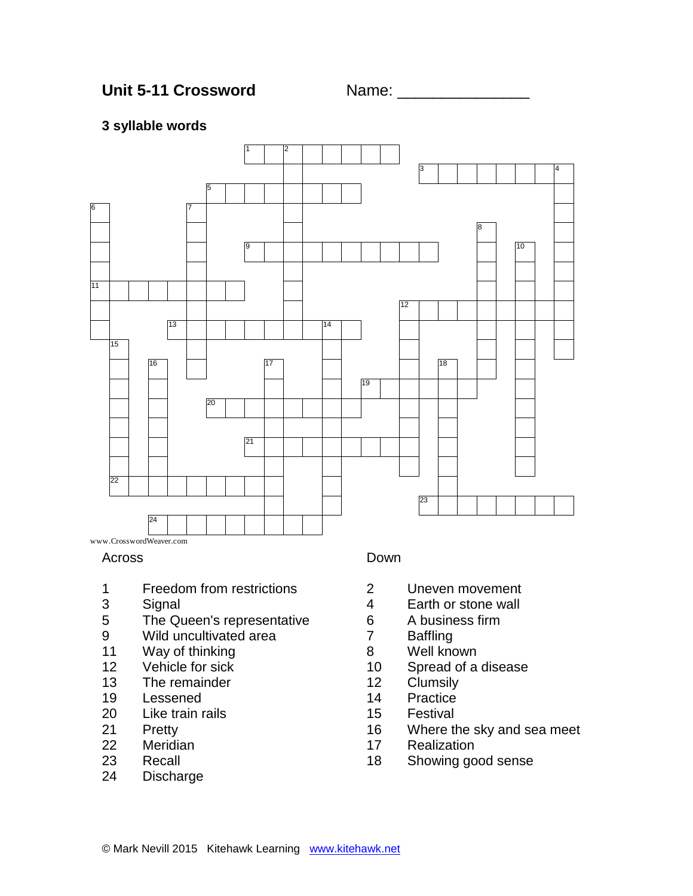## **3 syllable words**



www.CrosswordWeaver.com

#### Across

- Freedom from restrictions
- Signal
- The Queen's representative
- Wild uncultivated area
- Way of thinking
- Vehicle for sick
- 13 The remainder<br>19 Lessened
- Lessened
- Like train rails
- Pretty
- Meridian
- Recall
- Discharge

#### Down

- Uneven movement
- Earth or stone wall
- A business firm
- Baffling
- Well known
- Spread of a disease
- Clumsily
- Practice
- Festival
- Where the sky and sea meet
- Realization
- Showing good sense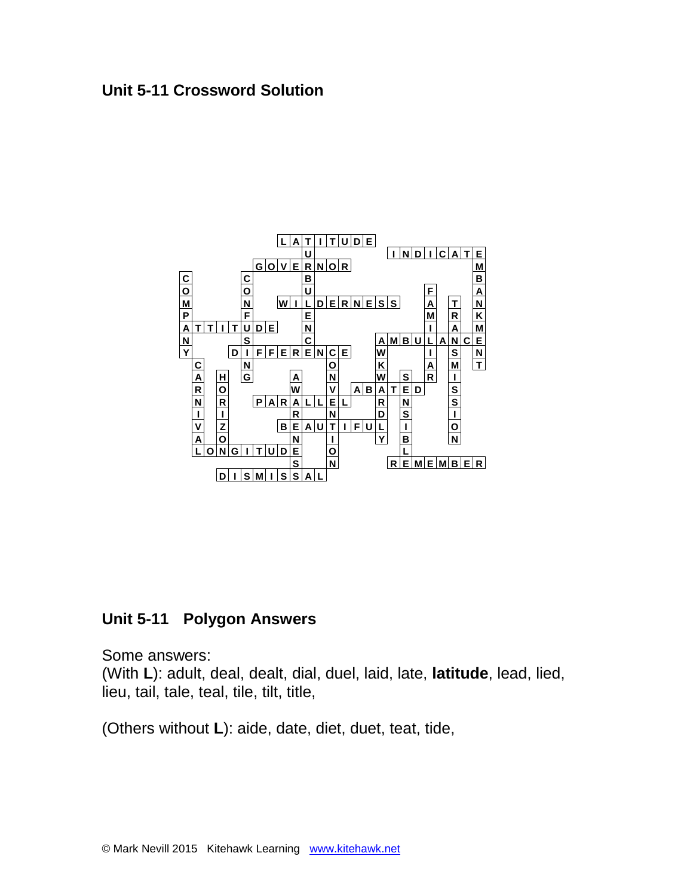# **Unit 5-11 Crossword Solution**



# **Unit 5-11 Polygon Answers**

Some answers:

(With **L**): adult, deal, dealt, dial, duel, laid, late, **latitude**, lead, lied, lieu, tail, tale, teal, tile, tilt, title,

(Others without **L**): aide, date, diet, duet, teat, tide,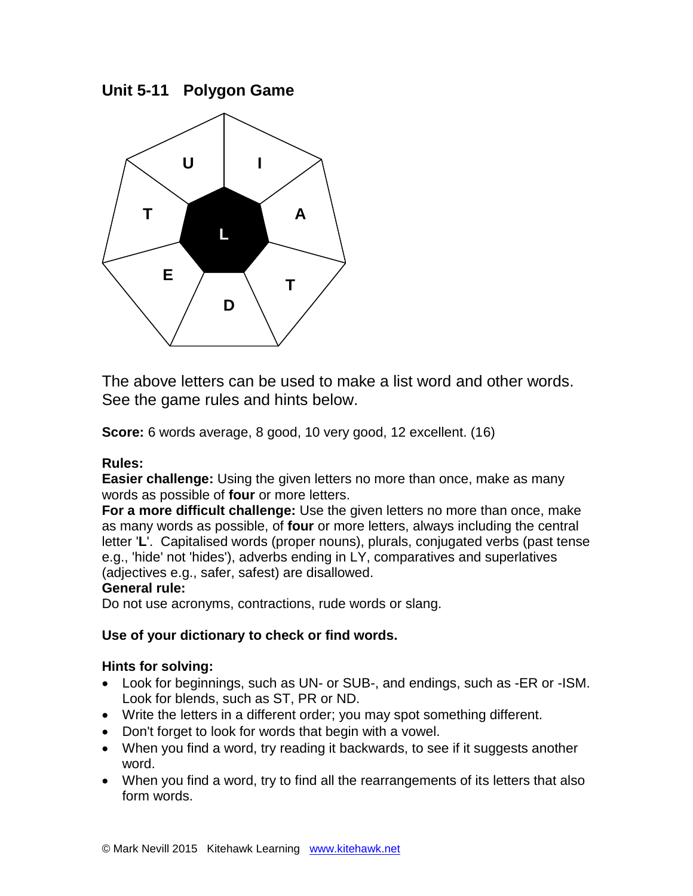**Unit 5-11 Polygon Game** 



The above letters can be used to make a list word and other words. See the game rules and hints below.

**Score:** 6 words average, 8 good, 10 very good, 12 excellent. (16)

## **Rules:**

**Easier challenge:** Using the given letters no more than once, make as many words as possible of **four** or more letters.

**For a more difficult challenge:** Use the given letters no more than once, make as many words as possible, of **four** or more letters, always including the central letter '**L**'. Capitalised words (proper nouns), plurals, conjugated verbs (past tense e.g., 'hide' not 'hides'), adverbs ending in LY, comparatives and superlatives (adjectives e.g., safer, safest) are disallowed.

## **General rule:**

Do not use acronyms, contractions, rude words or slang.

## **Use of your dictionary to check or find words.**

## **Hints for solving:**

- Look for beginnings, such as UN- or SUB-, and endings, such as -ER or -ISM. Look for blends, such as ST, PR or ND.
- Write the letters in a different order; you may spot something different.
- Don't forget to look for words that begin with a vowel.
- When you find a word, try reading it backwards, to see if it suggests another word.
- When you find a word, try to find all the rearrangements of its letters that also form words.